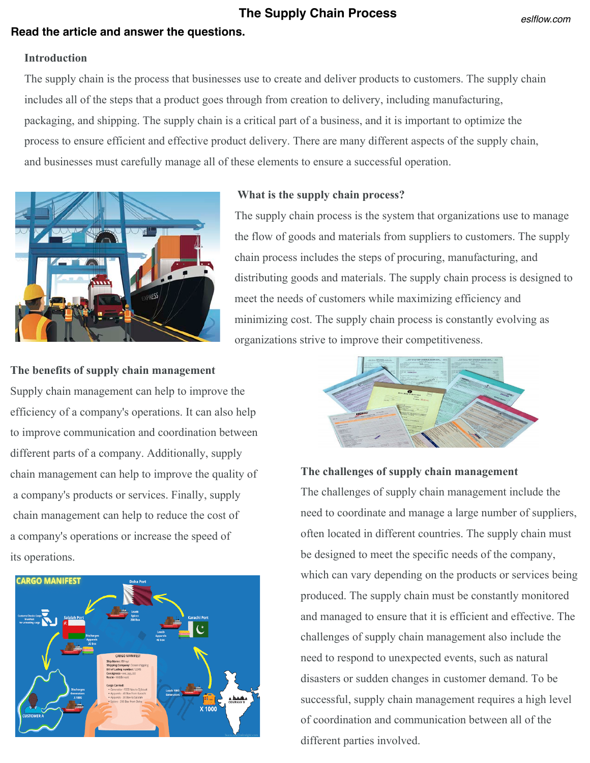# **The Supply Chain Process**

# **Read the article and answer the questions.**

#### *eslflow.com*

## **Introduction**

The supply chain is the process that businesses use to create and deliver products to customers. The supply chain includes all of the steps that a product goes through from creation to delivery, including manufacturing, packaging, and shipping. The supply chain is a critical part of a business, and it is important to optimize the process to ensure efficient and effective product delivery. There are many different aspects of the supply chain, and businesses must carefully manage all of these elements to ensure a successful operation.



## **What is the supply chain process?**

The supply chain process is the system that organizations use to manage the flow of goods and materials from suppliers to customers. The supply chain process includes the steps of procuring, manufacturing, and distributing goods and materials. The supply chain process is designed to meet the needs of customers while maximizing efficiency and minimizing cost. The supply chain process is constantly evolving as organizations strive to improve their competitiveness.

#### **The benefits of supply chain management**

Supply chain management can help to improve the efficiency of a company's operations. It can also help to improve communication and coordination between different parts of a company. Additionally, supply chain management can help to improve the quality of a company's products or services. Finally, supply chain management can help to reduce the cost of a company's operations or increase the speed of its operations.





### **The challenges of supply chain management**

The challenges of supply chain management include the need to coordinate and manage a large number of suppliers, often located in different countries. The supply chain must be designed to meet the specific needs of the company, which can vary depending on the products or services being produced. The supply chain must be constantly monitored and managed to ensure that it is efficient and effective. The challenges of supply chain management also include the need to respond to unexpected events, such as natural disasters or sudden changes in customer demand. To be successful, supply chain management requires a high level of coordination and communication between all of the different parties involved.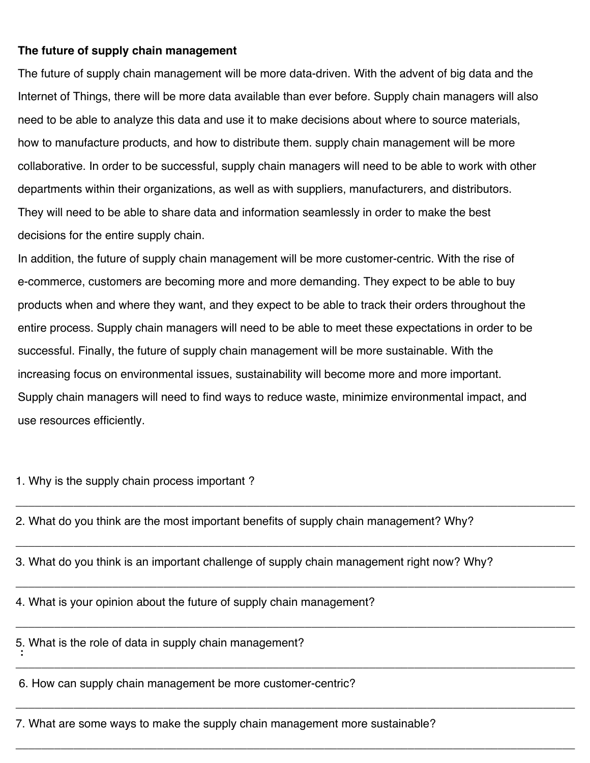## **The future of supply chain management**

The future of supply chain management will be more data-driven. With the advent of big data and the Internet of Things, there will be more data available than ever before. Supply chain managers will also need to be able to analyze this data and use it to make decisions about where to source materials, how to manufacture products, and how to distribute them. supply chain management will be more collaborative. In order to be successful, supply chain managers will need to be able to work with other departments within their organizations, as well as with suppliers, manufacturers, and distributors. They will need to be able to share data and information seamlessly in order to make the best decisions for the entire supply chain.

In addition, the future of supply chain management will be more customer-centric. With the rise of e-commerce, customers are becoming more and more demanding. They expect to be able to buy products when and where they want, and they expect to be able to track their orders throughout the entire process. Supply chain managers will need to be able to meet these expectations in order to be successful. Finally, the future of supply chain management will be more sustainable. With the increasing focus on environmental issues, sustainability will become more and more important. Supply chain managers will need to find ways to reduce waste, minimize environmental impact, and use resources efficiently.

1. Why is the supply chain process important ?

2. What do you think are the most important benefits of supply chain management? Why?

3. What do you think is an important challenge of supply chain management right now? Why?

\_\_\_\_\_\_\_\_\_\_\_\_\_\_\_\_\_\_\_\_\_\_\_\_\_\_\_\_\_\_\_\_\_\_\_\_\_\_\_\_\_\_\_\_\_\_\_\_\_\_\_\_\_\_\_\_\_\_\_\_\_\_\_\_\_\_\_\_\_\_\_\_\_\_\_\_\_\_\_\_\_\_\_\_\_\_\_

\_\_\_\_\_\_\_\_\_\_\_\_\_\_\_\_\_\_\_\_\_\_\_\_\_\_\_\_\_\_\_\_\_\_\_\_\_\_\_\_\_\_\_\_\_\_\_\_\_\_\_\_\_\_\_\_\_\_\_\_\_\_\_\_\_\_\_\_\_\_\_\_\_\_\_\_\_\_\_\_\_\_\_\_\_\_\_

\_\_\_\_\_\_\_\_\_\_\_\_\_\_\_\_\_\_\_\_\_\_\_\_\_\_\_\_\_\_\_\_\_\_\_\_\_\_\_\_\_\_\_\_\_\_\_\_\_\_\_\_\_\_\_\_\_\_\_\_\_\_\_\_\_\_\_\_\_\_\_\_\_\_\_\_\_\_\_\_\_\_\_\_\_\_\_

\_\_\_\_\_\_\_\_\_\_\_\_\_\_\_\_\_\_\_\_\_\_\_\_\_\_\_\_\_\_\_\_\_\_\_\_\_\_\_\_\_\_\_\_\_\_\_\_\_\_\_\_\_\_\_\_\_\_\_\_\_\_\_\_\_\_\_\_\_\_\_\_\_\_\_\_\_\_\_\_\_\_\_\_\_\_\_

\_\_\_\_\_\_\_\_\_\_\_\_\_\_\_\_\_\_\_\_\_\_\_\_\_\_\_\_\_\_\_\_\_\_\_\_\_\_\_\_\_\_\_\_\_\_\_\_\_\_\_\_\_\_\_\_\_\_\_\_\_\_\_\_\_\_\_\_\_\_\_\_\_\_\_\_\_\_\_\_\_\_\_\_\_\_\_

\_\_\_\_\_\_\_\_\_\_\_\_\_\_\_\_\_\_\_\_\_\_\_\_\_\_\_\_\_\_\_\_\_\_\_\_\_\_\_\_\_\_\_\_\_\_\_\_\_\_\_\_\_\_\_\_\_\_\_\_\_\_\_\_\_\_\_\_\_\_\_\_\_\_\_\_\_\_\_\_\_\_\_\_\_\_\_

\_\_\_\_\_\_\_\_\_\_\_\_\_\_\_\_\_\_\_\_\_\_\_\_\_\_\_\_\_\_\_\_\_\_\_\_\_\_\_\_\_\_\_\_\_\_\_\_\_\_\_\_\_\_\_\_\_\_\_\_\_\_\_\_\_\_\_\_\_\_\_\_\_\_\_\_\_\_\_\_\_\_\_\_\_\_\_

4. What is your opinion about the future of supply chain management?

**:** 5. What is the role of data in supply chain management?

6. How can supply chain management be more customer-centric?

7. What are some ways to make the supply chain management more sustainable?